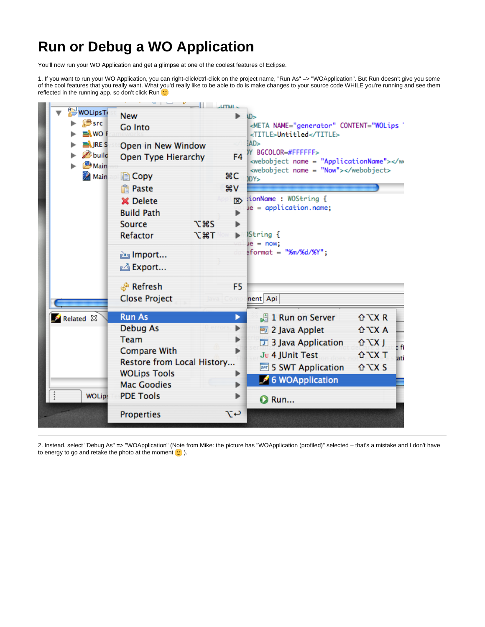## **Run or Debug a WO Application**

You'll now run your WO Application and get a glimpse at one of the coolest features of Eclipse.

1. If you want to run your WO Application, you can right-click/ctrl-click on the project name, "Run As" => "WOApplication". But Run doesn't give you some of the cool features that you really want. What you'd really like to be able to do is make changes to your source code WHILE you're running and see them reflected in the running app, so don't click Run  $\cup$ 



2. Instead, select "Debug As" => "WOApplication" (Note from Mike: the picture has "WOApplication (profiled)" selected – that's a mistake and I don't have to energy to go and retake the photo at the moment  $\bigcup$  ).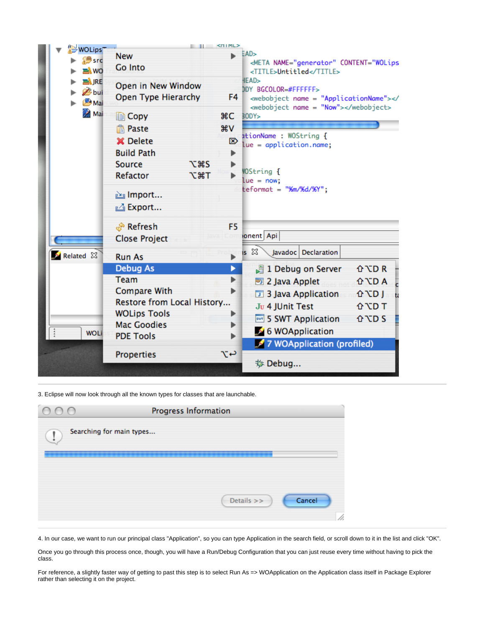

3. Eclipse will now look through all the known types for classes that are launchable.

| 000 | Progress Information     |            |        |
|-----|--------------------------|------------|--------|
| ï   | Searching for main types |            |        |
|     |                          |            |        |
|     |                          |            |        |
|     |                          | Details >> | Cancel |
|     |                          |            | 1,     |

4. In our case, we want to run our principal class "Application", so you can type Application in the search field, or scroll down to it in the list and click "OK".

Once you go through this process once, though, you will have a Run/Debug Configuration that you can just reuse every time without having to pick the class.

For reference, a slightly faster way of getting to past this step is to select Run As => WOApplication on the Application class itself in Package Explorer rather than selecting it on the project.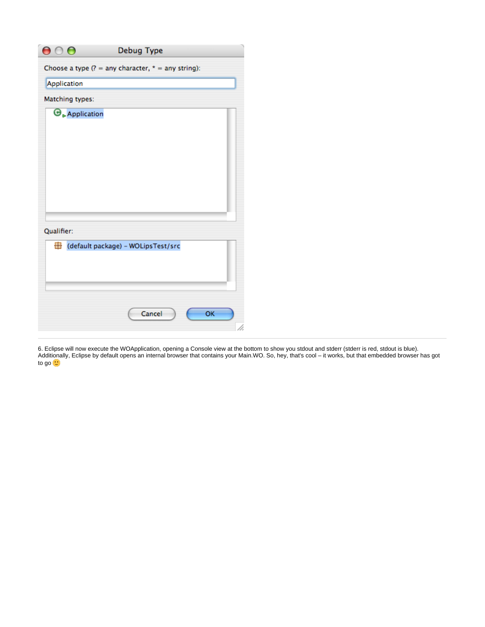| $\mathbf{\Theta} \circ \mathbf{\Theta}$ | Debug Type                                            |
|-----------------------------------------|-------------------------------------------------------|
|                                         | Choose a type $(? = any character, * = any string)$ : |
| Application                             |                                                       |
| Matching types:                         |                                                       |
| $\Theta_{\triangleright}$ Application   |                                                       |
|                                         |                                                       |
|                                         |                                                       |
|                                         |                                                       |
|                                         |                                                       |
|                                         |                                                       |
|                                         |                                                       |
|                                         |                                                       |
| Qualifier:                              |                                                       |
| default package) - WOLipsTest/src       |                                                       |
|                                         |                                                       |
|                                         |                                                       |
|                                         |                                                       |
|                                         |                                                       |
|                                         | Cancel<br>OK                                          |
|                                         | li.                                                   |

6. Eclipse will now execute the WOApplication, opening a Console view at the bottom to show you stdout and stderr (stderr is red, stdout is blue). Additionally, Eclipse by default opens an internal browser that contains your Main.WO. So, hey, that's cool – it works, but that embedded browser has got to go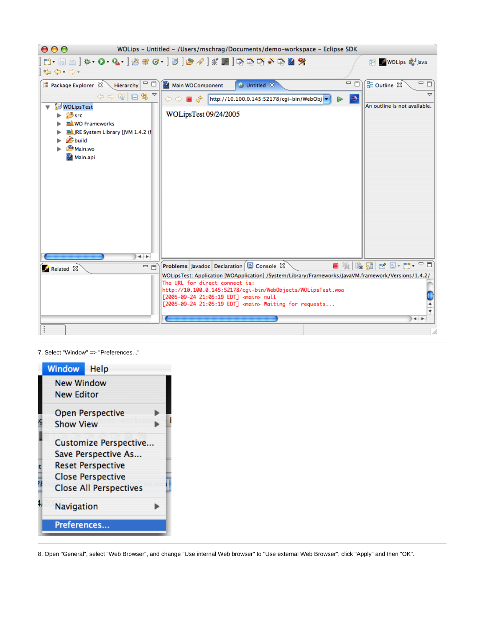

7. Select "Window" => "Preferences..."

| <b>Window</b> Help            |
|-------------------------------|
| <b>New Window</b>             |
| <b>New Editor</b>             |
| <b>Open Perspective</b>       |
| <b>Show View</b>              |
| Customize Perspective         |
| Save Perspective As           |
| <b>Reset Perspective</b>      |
| <b>Close Perspective</b>      |
| <b>Close All Perspectives</b> |
| Navigation                    |
| Preferences                   |
|                               |

8. Open "General", select "Web Browser", and change "Use internal Web browser" to "Use external Web Browser", click "Apply" and then "OK".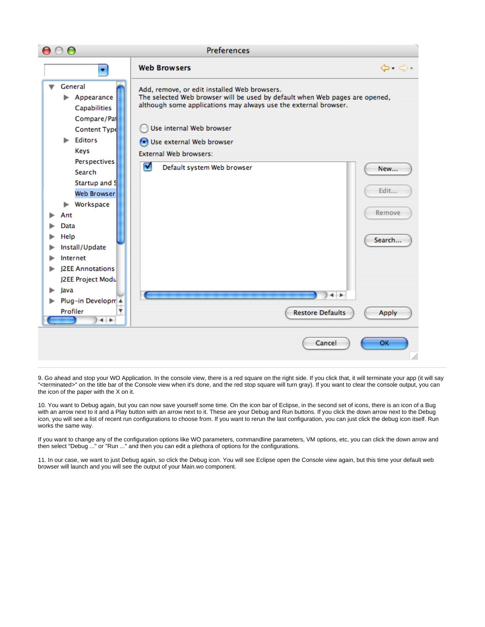

9. Go ahead and stop your WO Application. In the console view, there is a red square on the right side. If you click that, it will terminate your app (it will say "<terminated>" on the title bar of the Console view when it's done, and the red stop square will turn gray). If you want to clear the console output, you can the icon of the paper with the X on it.

10. You want to Debug again, but you can now save yourself some time. On the icon bar of Eclipse, in the second set of icons, there is an icon of a Bug with an arrow next to it and a Play button with an arrow next to it. These are your Debug and Run buttons. If you click the down arrow next to the Debug icon, you will see a list of recent run configurations to choose from. If you want to rerun the last configuration, you can just click the debug icon itself. Run works the same way.

If you want to change any of the configuration options like WO parameters, commandline parameters, VM options, etc, you can click the down arrow and then select "Debug ..." or "Run ..." and then you can edit a plethora of options for the configurations.

11. In our case, we want to just Debug again, so click the Debug icon. You will see Eclipse open the Console view again, but this time your default web browser will launch and you will see the output of your Main.wo component.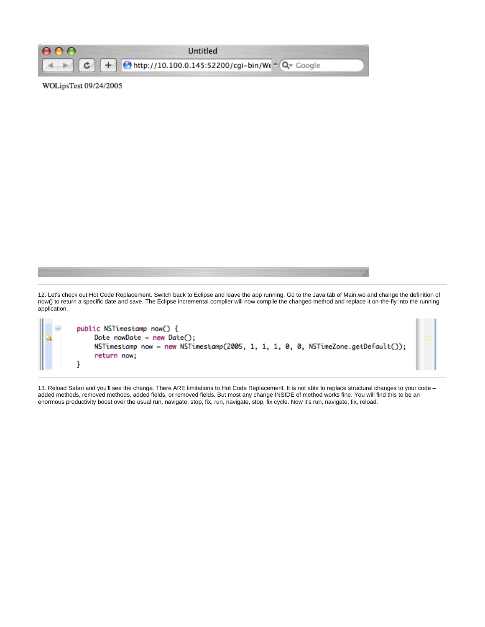

## WOLipsTest 09/24/2005

12. Let's check out Hot Code Replacement. Switch back to Eclipse and leave the app running. Go to the Java tab of Main.wo and change the definition of now() to return a specific date and save. The Eclipse incremental compiler will now compile the changed method and replace it on-the-fly into the running application.

public NSTimestamp now() { Θ Date nowDate = new Date $()$ ; NSTimestamp now = new NSTimestamp(2005, 1, 1, 1, 0, 0, NSTimeZone.getDefault()); return now; ŀ

13. Reload Safari and you'll see the change. There ARE limitations to Hot Code Replacement. It is not able to replace structural changes to your code – added methods, removed methods, added fields, or removed fields. But most any change INSIDE of method works fine. You will find this to be an enormous productivity boost over the usual run, navigate, stop, fix, run, navigate, stop, fix cycle. Now it's run, navigate, fix, reload.